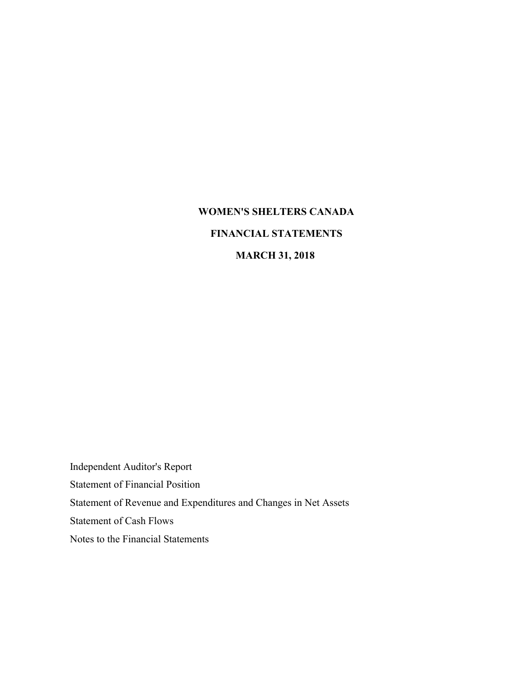# **WOMEN'S SHELTERS CANADA FINANCIAL STATEMENTS**

# **MARCH 31, 2018**

Independent Auditor's Report Statement of Financial Position Statement of Revenue and Expenditures and Changes in Net Assets Statement of Cash Flows Notes to the Financial Statements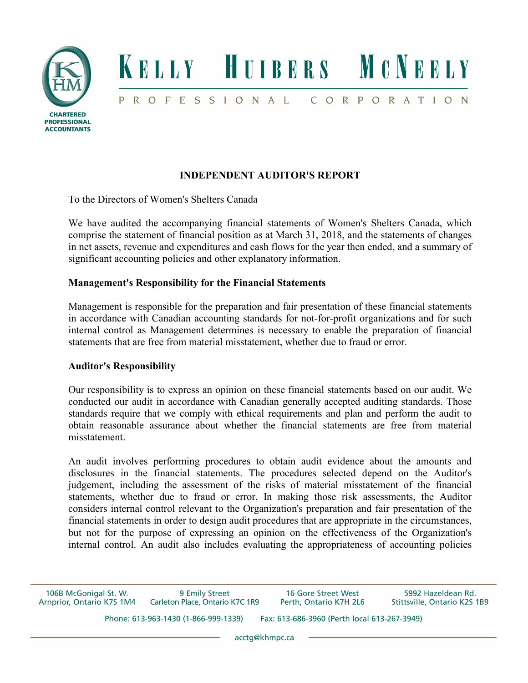

# **INDEPENDENT AUDITOR'S REPORT**

To the Directors of Women's Shelters Canada

We have audited the accompanying financial statements of Women's Shelters Canada, which comprise the statement of financial position as at March 31, 2018, and the statements of changes in net assets, revenue and expenditures and cash flows for the year then ended, and a summary of significant accounting policies and other explanatory information.

## **Management's Responsibility for the Financial Statements**

Management is responsible for the preparation and fair presentation of these financial statements in accordance with Canadian accounting standards for not-for-profit organizations and for such internal control as Management determines is necessary to enable the preparation of financial statements that are free from material misstatement, whether due to fraud or error.

## **Auditor's Responsibility**

Our responsibility is to express an opinion on these financial statements based on our audit. We conducted our audit in accordance with Canadian generally accepted auditing standards. Those standards require that we comply with ethical requirements and plan and perform the audit to obtain reasonable assurance about whether the financial statements are free from material misstatement.

An audit involves performing procedures to obtain audit evidence about the amounts and disclosures in the financial statements. The procedures selected depend on the Auditor's judgement, including the assessment of the risks of material misstatement of the financial statements, whether due to fraud or error. In making those risk assessments, the Auditor considers internal control relevant to the Organization's preparation and fair presentation of the financial statements in order to design audit procedures that are appropriate in the circumstances, but not for the purpose of expressing an opinion on the effectiveness of the Organization's internal control. An audit also includes evaluating the appropriateness of accounting policies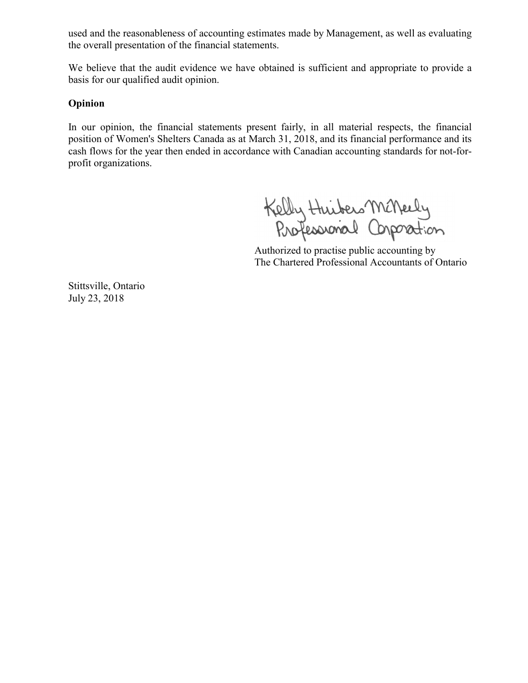used and the reasonableness of accounting estimates made by Management, as well as evaluating the overall presentation of the financial statements.

We believe that the audit evidence we have obtained is sufficient and appropriate to provide a basis for our qualified audit opinion.

## **Opinion**

In our opinion, the financial statements present fairly, in all material respects, the financial position of Women's Shelters Canada as at March 31, 2018, and its financial performance and its cash flows for the year then ended in accordance with Canadian accounting standards for not-forprofit organizations.

Kelly Huibers McNeely<br>Professional Corporation

 Authorized to practise public accounting by The Chartered Professional Accountants of Ontario

Stittsville, Ontario July 23, 2018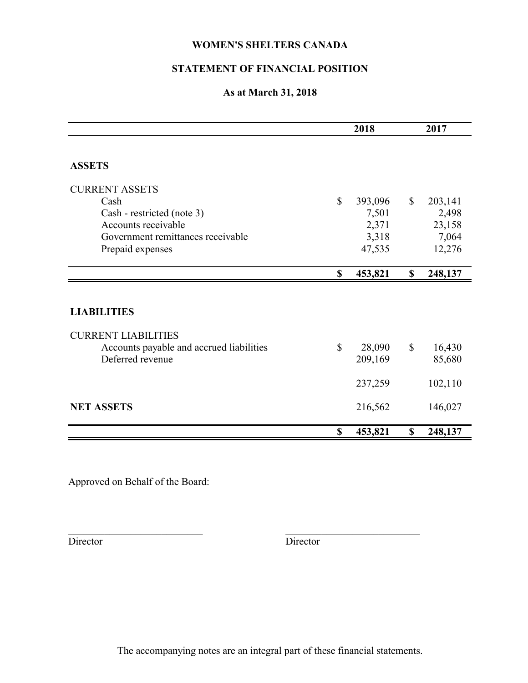## **STATEMENT OF FINANCIAL POSITION**

## **As at March 31, 2018**

|                                          |              | 2018    |              | 2017    |  |
|------------------------------------------|--------------|---------|--------------|---------|--|
|                                          |              |         |              |         |  |
| <b>ASSETS</b>                            |              |         |              |         |  |
| <b>CURRENT ASSETS</b>                    |              |         |              |         |  |
| Cash                                     | $\mathbb{S}$ | 393,096 | $\mathbb{S}$ | 203,141 |  |
| Cash - restricted (note 3)               |              | 7,501   |              | 2,498   |  |
| Accounts receivable                      |              | 2,371   |              | 23,158  |  |
| Government remittances receivable        |              | 3,318   |              | 7,064   |  |
| Prepaid expenses                         |              | 47,535  |              | 12,276  |  |
|                                          | $\mathbf S$  | 453,821 | $\mathbf S$  | 248,137 |  |
| <b>LIABILITIES</b>                       |              |         |              |         |  |
|                                          |              |         |              |         |  |
| <b>CURRENT LIABILITIES</b>               |              |         |              |         |  |
| Accounts payable and accrued liabilities | $\mathbb{S}$ | 28,090  | $\mathbb{S}$ | 16,430  |  |
| Deferred revenue                         |              | 209,169 |              | 85,680  |  |
|                                          |              | 237,259 |              | 102,110 |  |
| <b>NET ASSETS</b>                        |              | 216,562 |              | 146,027 |  |
|                                          |              |         |              |         |  |
|                                          | \$           | 453,821 | \$           | 248,137 |  |

Approved on Behalf of the Board:

Director Director

The accompanying notes are an integral part of these financial statements.

 $\mathcal{L}_\text{max}$  and the contract of the contract of the contract of the contract of the contract of the contract of the contract of the contract of the contract of the contract of the contract of the contract of the contrac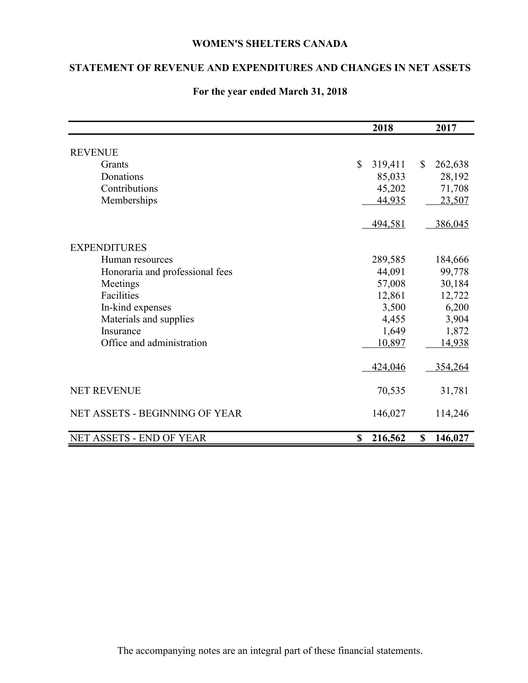## **STATEMENT OF REVENUE AND EXPENDITURES AND CHANGES IN NET ASSETS**

|                                       | 2018          | 2017                    |
|---------------------------------------|---------------|-------------------------|
| <b>REVENUE</b>                        |               |                         |
| Grants                                | \$<br>319,411 | $\mathbb{S}$<br>262,638 |
| Donations                             | 85,033        | 28,192                  |
| Contributions                         | 45,202        | 71,708                  |
| Memberships                           | 44,935        | 23,507                  |
|                                       |               |                         |
|                                       | 494,581       | 386,045                 |
| <b>EXPENDITURES</b>                   |               |                         |
| Human resources                       | 289,585       | 184,666                 |
| Honoraria and professional fees       | 44,091        | 99,778                  |
| Meetings                              | 57,008        | 30,184                  |
| Facilities                            | 12,861        | 12,722                  |
| In-kind expenses                      | 3,500         | 6,200                   |
| Materials and supplies                | 4,455         | 3,904                   |
| Insurance                             | 1,649         | 1,872                   |
| Office and administration             | 10,897        | <u>14,938</u>           |
|                                       |               |                         |
|                                       | 424,046       | 354,264                 |
| <b>NET REVENUE</b>                    | 70,535        | 31,781                  |
| <b>NET ASSETS - BEGINNING OF YEAR</b> | 146,027       | 114,246                 |
| NET ASSETS - END OF YEAR              | 216,562<br>\$ | $\mathbf S$<br>146,027  |

## **For the year ended March 31, 2018**

The accompanying notes are an integral part of these financial statements.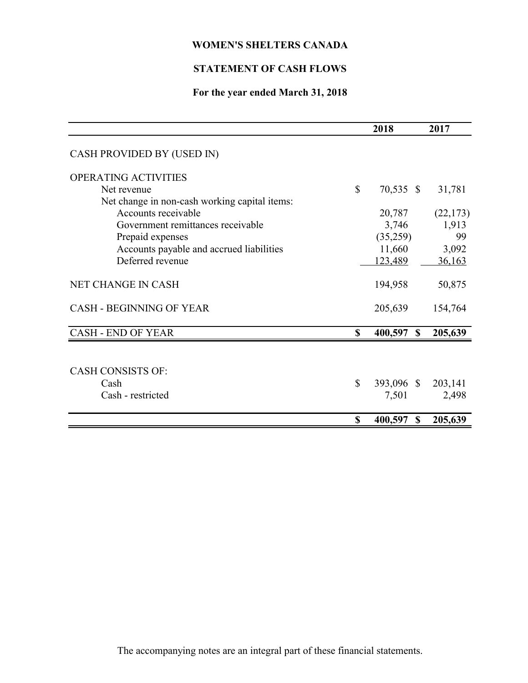# **STATEMENT OF CASH FLOWS**

# **For the year ended March 31, 2018**

|                                               |              | 2018                     | 2017      |
|-----------------------------------------------|--------------|--------------------------|-----------|
| CASH PROVIDED BY (USED IN)                    |              |                          |           |
| <b>OPERATING ACTIVITIES</b>                   |              |                          |           |
| Net revenue                                   | $\mathbb{S}$ | 70,535 \$                | 31,781    |
| Net change in non-cash working capital items: |              |                          |           |
| Accounts receivable                           |              | 20,787                   | (22, 173) |
| Government remittances receivable             |              | 3,746                    | 1,913     |
| Prepaid expenses                              |              | (35,259)                 | 99        |
| Accounts payable and accrued liabilities      |              | 11,660                   | 3,092     |
| Deferred revenue                              |              | 123,489                  | 36,163    |
|                                               |              |                          |           |
| <b>NET CHANGE IN CASH</b>                     |              | 194,958                  | 50,875    |
| <b>CASH - BEGINNING OF YEAR</b>               |              | 205,639                  | 154,764   |
| <b>CASH - END OF YEAR</b>                     | $\mathbf S$  | 400,597<br>$\mathbf{\$}$ | 205,639   |
|                                               |              |                          |           |
|                                               |              |                          |           |
| <b>CASH CONSISTS OF:</b>                      |              |                          |           |
| Cash                                          | \$           | 393,096 \$               | 203,141   |
| Cash - restricted                             |              | 7,501                    | 2,498     |
|                                               |              |                          |           |
|                                               | \$           | 400,597<br><sup>\$</sup> | 205,639   |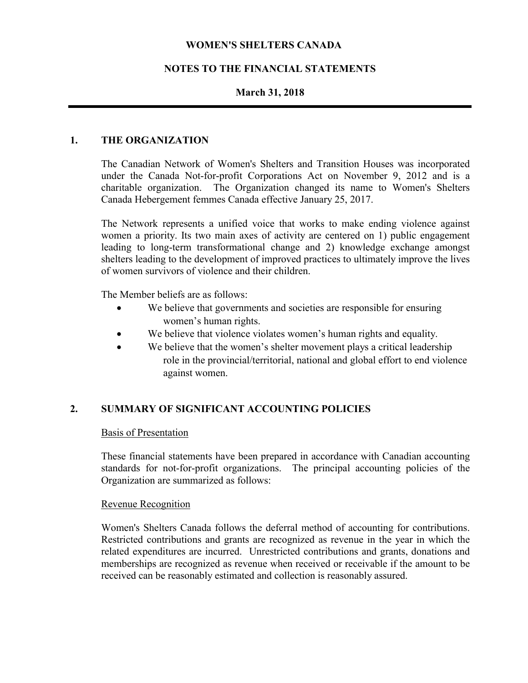## **NOTES TO THE FINANCIAL STATEMENTS**

## **March 31, 2018**

#### **1. THE ORGANIZATION**

The Canadian Network of Women's Shelters and Transition Houses was incorporated under the Canada Not-for-profit Corporations Act on November 9, 2012 and is a charitable organization. The Organization changed its name to Women's Shelters Canada Hebergement femmes Canada effective January 25, 2017.

The Network represents a unified voice that works to make ending violence against women a priority. Its two main axes of activity are centered on 1) public engagement leading to long-term transformational change and 2) knowledge exchange amongst shelters leading to the development of improved practices to ultimately improve the lives of women survivors of violence and their children.

The Member beliefs are as follows:

- We believe that governments and societies are responsible for ensuring women's human rights.
- We believe that violence violates women's human rights and equality.
- We believe that the women's shelter movement plays a critical leadership role in the provincial/territorial, national and global effort to end violence against women.

## **2. SUMMARY OF SIGNIFICANT ACCOUNTING POLICIES**

#### Basis of Presentation

These financial statements have been prepared in accordance with Canadian accounting standards for not-for-profit organizations. The principal accounting policies of the Organization are summarized as follows:

#### Revenue Recognition

Women's Shelters Canada follows the deferral method of accounting for contributions. Restricted contributions and grants are recognized as revenue in the year in which the related expenditures are incurred. Unrestricted contributions and grants, donations and memberships are recognized as revenue when received or receivable if the amount to be received can be reasonably estimated and collection is reasonably assured.